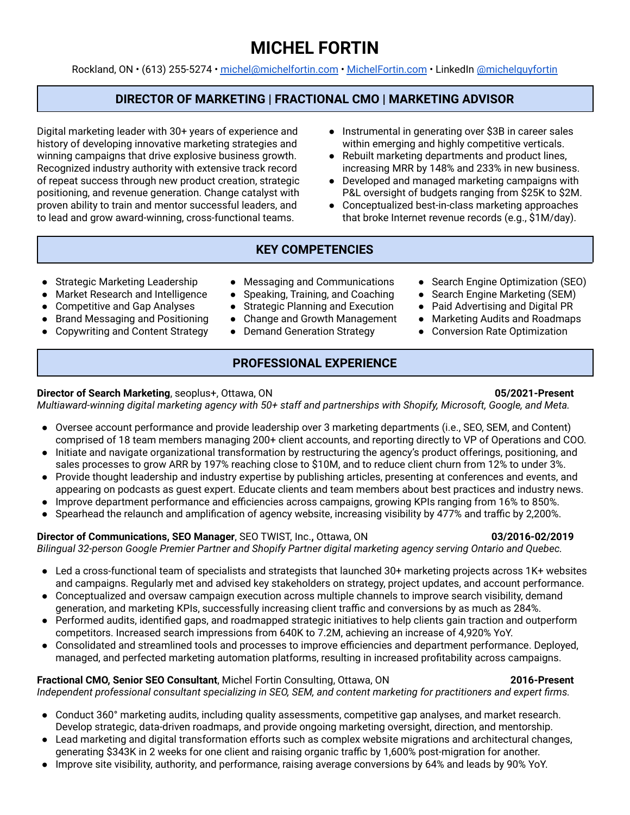# **MICHEL FORTIN**

Rockland, ON • (613) 255-5274 • [michel@michelfortin.com](mailto:michel@michelfortin.com) • [MichelFortin.com](http://michelfortin.com) • LinkedIn [@michelguyfortin](https://www.linkedin.com/in/michelguyfortin/)

## **DIRECTOR OF MARKETING | FRACTIONAL CMO | MARKETING ADVISOR**

Digital marketing leader with 30+ years of experience and history of developing innovative marketing strategies and winning campaigns that drive explosive business growth. Recognized industry authority with extensive track record of repeat success through new product creation, strategic positioning, and revenue generation. Change catalyst with proven ability to train and mentor successful leaders, and to lead and grow award-winning, cross-functional teams.

- Instrumental in generating over \$3B in career sales within emerging and highly competitive verticals.
- Rebuilt marketing departments and product lines, increasing MRR by 148% and 233% in new business.
- Developed and managed marketing campaigns with P&L oversight of budgets ranging from \$25K to \$2M.
- Conceptualized best-in-class marketing approaches that broke Internet revenue records (e.g., \$1M/day).

## **KEY COMPETENCIES**

- Strategic Marketing Leadership
- Market Research and Intelligence
- Competitive and Gap Analyses
- **Brand Messaging and Positioning**
- **Copywriting and Content Strategy**
- Messaging and Communications
- Speaking, Training, and Coaching
- Strategic Planning and Execution
- Change and Growth Management
- Demand Generation Strategy

## **PROFESSIONAL EXPERIENCE**

### **Director of Search Marketing**, seoplus+, Ottawa, ON **05/2021-Present**

*Multiaward-winning digital marketing agency with 50+ staff and partnerships with Shopify, Microsoft, Google, and Meta.*

- Oversee account performance and provide leadership over 3 marketing departments (i.e., SEO, SEM, and Content) comprised of 18 team members managing 200+ client accounts, and reporting directly to VP of Operations and COO.
- Initiate and navigate organizational transformation by restructuring the agency's product offerings, positioning, and sales processes to grow ARR by 197% reaching close to \$10M, and to reduce client churn from 12% to under 3%.
- Provide thought leadership and industry expertise by publishing articles, presenting at conferences and events, and appearing on podcasts as guest expert. Educate clients and team members about best practices and industry news.
- Improve department performance and efficiencies across campaigns, growing KPIs ranging from 16% to 850%.
- Spearhead the relaunch and amplification of agency website, increasing visibility by 477% and traffic by 2,200%.

### **Director of Communications, SEO Manager**, SEO TWIST, Inc.**,** Ottawa, ON **03/2016-02/2019**

### *Bilingual 32-person Google Premier Partner and Shopify Partner digital marketing agency serving Ontario and Quebec.*

- Led a cross-functional team of specialists and strategists that launched 30+ marketing projects across 1K+ websites and campaigns. Regularly met and advised key stakeholders on strategy, project updates, and account performance.
- Conceptualized and oversaw campaign execution across multiple channels to improve search visibility, demand generation, and marketing KPIs, successfully increasing client traffic and conversions by as much as 284%.
- Performed audits, identified gaps, and roadmapped strategic initiatives to help clients gain traction and outperform competitors. Increased search impressions from 640K to 7.2M, achieving an increase of 4,920% YoY.
- Consolidated and streamlined tools and processes to improve efficiencies and department performance. Deployed, managed, and perfected marketing automation platforms, resulting in increased profitability across campaigns.

## **Fractional CMO, Senior SEO Consultant**, Michel Fortin Consulting, Ottawa, ON **2016-Present**

*Independent professional consultant specializing in SEO, SEM, and content marketing for practitioners and expert firms.*

- Conduct 360° marketing audits, including quality assessments, competitive gap analyses, and market research. Develop strategic, data-driven roadmaps, and provide ongoing marketing oversight, direction, and mentorship.
- Lead marketing and digital transformation efforts such as complex website migrations and architectural changes, generating \$343K in 2 weeks for one client and raising organic traffic by 1,600% post-migration for another.
- Improve site visibility, authority, and performance, raising average conversions by 64% and leads by 90% YoY.

● Search Engine Optimization (SEO) ● Search Engine Marketing (SEM) ● Paid Advertising and Digital PR ● Marketing Audits and Roadmaps ● Conversion Rate Optimization